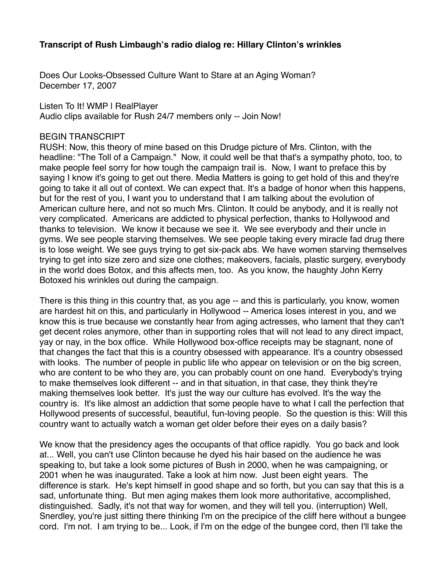## **Transcript of Rush Limbaugh's radio dialog re: Hillary Clinton's wrinkles**

Does Our Looks-Obsessed Culture Want to Stare at an Aging Woman? December 17, 2007

Listen To It! WMP | RealPlayer Audio clips available for Rush 24/7 members only -- Join Now!

## BEGIN TRANSCRIPT

RUSH: Now, this theory of mine based on this Drudge picture of Mrs. Clinton, with the headline: "The Toll of a Campaign." Now, it could well be that that's a sympathy photo, too, to make people feel sorry for how tough the campaign trail is. Now, I want to preface this by saying I know it's going to get out there. Media Matters is going to get hold of this and they're going to take it all out of context. We can expect that. It's a badge of honor when this happens, but for the rest of you, I want you to understand that I am talking about the evolution of American culture here, and not so much Mrs. Clinton. It could be anybody, and it is really not very complicated. Americans are addicted to physical perfection, thanks to Hollywood and thanks to television. We know it because we see it. We see everybody and their uncle in gyms. We see people starving themselves. We see people taking every miracle fad drug there is to lose weight. We see guys trying to get six-pack abs. We have women starving themselves trying to get into size zero and size one clothes; makeovers, facials, plastic surgery, everybody in the world does Botox, and this affects men, too. As you know, the haughty John Kerry Botoxed his wrinkles out during the campaign.

There is this thing in this country that, as you age -- and this is particularly, you know, women are hardest hit on this, and particularly in Hollywood -- America loses interest in you, and we know this is true because we constantly hear from aging actresses, who lament that they can't get decent roles anymore, other than in supporting roles that will not lead to any direct impact, yay or nay, in the box office. While Hollywood box-office receipts may be stagnant, none of that changes the fact that this is a country obsessed with appearance. It's a country obsessed with looks. The number of people in public life who appear on television or on the big screen, who are content to be who they are, you can probably count on one hand. Everybody's trying to make themselves look different -- and in that situation, in that case, they think they're making themselves look better. It's just the way our culture has evolved. It's the way the country is. It's like almost an addiction that some people have to what I call the perfection that Hollywood presents of successful, beautiful, fun-loving people. So the question is this: Will this country want to actually watch a woman get older before their eyes on a daily basis?

We know that the presidency ages the occupants of that office rapidly. You go back and look at... Well, you can't use Clinton because he dyed his hair based on the audience he was speaking to, but take a look some pictures of Bush in 2000, when he was campaigning, or 2001 when he was inaugurated. Take a look at him now. Just been eight years. The difference is stark. He's kept himself in good shape and so forth, but you can say that this is a sad, unfortunate thing. But men aging makes them look more authoritative, accomplished, distinguished. Sadly, it's not that way for women, and they will tell you. (interruption) Well, Snerdley, you're just sitting there thinking I'm on the precipice of the cliff here without a bungee cord. I'm not. I am trying to be... Look, if I'm on the edge of the bungee cord, then I'll take the